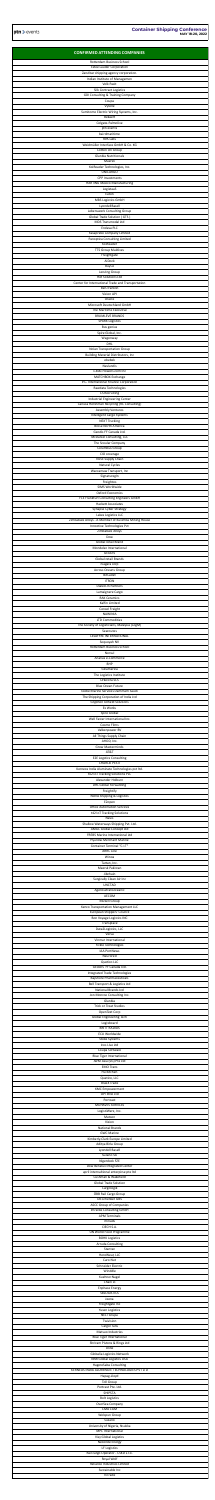| <b>CONFIRMED ATTENDING COMPANIES</b><br>Rotterdam Business School                                             |
|---------------------------------------------------------------------------------------------------------------|
| <b>Estee Lauder Corporation</b><br>Zanzibar shipping agency corporation.<br>Indian Institute of Managemen     |
| <b>Volk Paxit</b><br><b>Silk Contract Logistics</b>                                                           |
| <b>GDI Consulting &amp; Training Company</b><br>Coupa<br>Vytelle                                              |
| Sumitomo Electric Wiring Systems, Inc.<br>Bekaert<br>Colgate-Palmolive                                        |
| ptn events<br>bairdmaritime<br><b>RPA Labs</b>                                                                |
| Weidmüller Interface GmbH & Co. KG<br>Cotton On Group                                                         |
| <b>Glanbia Nutritionals</b><br>Maersk<br>KoiReader Technologies, Inc.                                         |
| <b>UNICARGO</b><br><b>CPP Investments</b><br><b>HARTING Mexico Manufacturing</b>                              |
| LogistaaS<br>Eaton<br>MBS Logistics GmbH                                                                      |
| LyondellBasell<br>Lebenswerk Consulting Group                                                                 |
| Global Trade Solution (GTS)<br>MDS Transmodal Ltd<br>Endava PLC                                               |
| Kasapreko Company Limited<br>Panoptica Consulting Limited<br>KoiReader                                        |
| <b>TTS Group Maldives</b><br>Freightgate<br>AiDock                                                            |
| <b>BuyCo</b><br>Lenzing Group                                                                                 |
| <b>Hot Solutions Ltd</b><br>Center for International Trade and Transportation<br>Ben-franklin                 |
| <b>Vizion API</b><br>Oracle<br>Microsoft Deutschland GmbH                                                     |
| The Maritime Executive<br><b>BRUMLEVE BRANDS</b><br><b>SPARX Logistics</b>                                    |
| Bus genius<br>Spire Global, Inc.                                                                              |
| Wagonway<br><b>DHL</b><br>Nolan Transportation Group                                                          |
| <b>Building Material Distributors, Inc</b><br>ebebek<br>Navlandis                                             |
| 1-800-Flowers.com Inc<br>MATCHBOX Exchange<br>IFC- International Finance Corporation                          |
| Rawdata Technologies<br><b>CS Recruiting</b>                                                                  |
| <b>Industrial Engineering Center</b><br>Canusa Hershman Recycling (RC Consulting)<br><b>Assembly Ventures</b> |
| Intelligent Cargo Systems<br><b>NEXT Trucking</b><br><b>Brose North America</b>                               |
| Geodis FF Canada Ltd.<br>McDaniel Consulting, LLC<br>The Scoular Company                                      |
| Columbus Group<br>CIO coverage                                                                                |
| <b>VUSE Supply Chain</b><br><b>Natural Cycles</b><br>Waccamaw Transport, Inc                                  |
| SignaturegIn<br>Freightos<br>SIMS Worldwide                                                                   |
| <b>Oxford Economics</b><br>FCE Frankfurt Consulting Engineers GmbH<br><b>Hackett Associates</b>               |
| Synapse Cyber Strategy<br>Lakes Logistics LLC                                                                 |
| Zimbabwe Alloys - A Member of Kuvimba Mining House<br>Innoctive Technologies Pvt<br>Zimbabwe Alloys           |
| Dow<br>Global retail Brand<br>Mondelez International                                                          |
| <b>GEODIS</b><br>Global retail Brands<br>niagara corp                                                         |
| Across Oceans Group<br><b>BitCadet</b>                                                                        |
| <b>ITRON</b><br>Dialed-In Partners<br>Lamaignere Cargo                                                        |
| <b>RAK Ceramics</b><br>Kalfin Limited<br>Consol Freight                                                       |
| <b>NAWINIA</b><br><b>LTD Commodities</b><br>The Society of Logisticians, Malaysia (LogM)                      |
| Searoutes<br>LESAFFRE INTERNATIONAL                                                                           |
| Sequoyah NV<br>Rotterdam Business School<br>Norsul                                                            |
| Ananas e-Commerce<br><b>BHP</b><br>Glcamerica                                                                 |
| The Logistics Institute<br>Orkestra SCS<br><b>Blue Ocean Future</b>                                           |
| Globe Marine Services Dammam Saudi<br>The Shipping Corporation of India Ltd                                   |
| <b>Gryphon Oilfield Solutions</b><br>Ex Works<br>Spire Global                                                 |
| Well Faster International Inc.<br>Cosmo Films<br>Valkenpower BV                                               |
| All Things Supply Chain<br>AHOD, Inc.<br><b>Grow Masterminds</b>                                              |
| AT&T<br><b>E2E Logstics Consulting</b><br><b>CHARLIE PESTI</b>                                                |
| Kerneos India Aluminate Technologies pvt ltd.<br>t42 IoT Tracking Solutions PLC                               |
| Alexander Holburn                                                                                             |
| <b>DHL Global Forwarding</b><br>Freightify<br>NOVA Shipping & Logistics                                       |
| E2open<br><b>Office Automation Services</b><br>t42 IoT Tracking Solutions                                     |
| Navis<br>Shallow Waterways Shipping Pvt. Ltd.<br><b>AMGC Global Concept Ltd</b>                               |
| <b>FREBS Marine International Ltd</b><br>Hyundai Merchant Marine<br>Container Terminal "C.I.T"                |
| <b>ARRC Line</b><br>Winoa<br>Tartan, Inc.                                                                     |
| Maersk Pakistan<br>Jibchain<br>Surgically Clean Air Inc                                                       |
| <b>UNCTAD</b><br>Agenciatransoceanic<br>AECOM                                                                 |
| Mizzen Group<br>Kenco Transportation Management LLC<br>European Shippers' Council                             |
| <b>Bon Voyage Logistics INC</b><br>Transplace                                                                 |
| Data2Logistics, LLC<br>Versa<br>Vinmar International                                                          |
| Fickle Technologies<br><b>IAA PortNews</b><br>Neurored                                                        |
| Quetico LLC<br>GEODIS FF Canada Ltd.<br>Integrated Trade Technologies                                         |
| <b>Bayshore Pharmaceuticals</b><br>Bell Transport & Logistics Ltd<br>National Brands Ltd                      |
| Jon Monroe Consulting Inc.<br>Glanbia<br><b>Trick or Treat Studios</b>                                        |
| OpenText Corp<br><b>Global Engineering Tech</b><br>Logixboard                                                 |
| <b>BRITT RADIUS</b><br>ECU Worldwide<br>Stoke Systems                                                         |
| Icos Live Ltd<br>Coupa Software<br><b>Blue Tiger International</b>                                            |
| JWM Asia (SG) Pte Ltd<br><b>EMO Trans</b><br>Hu Kitchen                                                       |
| Quetico, LLC<br><b>BlueX Trade</b>                                                                            |
| <b>KMC Empowerment</b><br><b>OPTIMIZ Ltd</b><br>Portcast                                                      |
| MOHAVES SERVICES<br>LogistiWerx, Inc.<br>Matson                                                               |
| Vizion<br><b>National Brands</b><br><b>GWC Marine</b>                                                         |
| Kimberly-Clark Europe Limited<br>Aditya Birla Group<br>Lyondell Basell                                        |
| Suzano SA<br>Nigerdock FZE<br>Dow Benelux Integrated Center                                                   |
| april internaltional enterpirse pte Itd<br>Cushman & Wakefield<br><b>Global Trade Solution</b>                |
| Cargologik<br>ÖBB Rail Cargo Group<br>Db schenker GBS                                                         |
| <b>ASCC Group of Companies</b><br>Imrecke Consulting GmbH<br><b>APM Terminals</b>                             |
| miriads<br>CIECH S.A.                                                                                         |
| UN World Food Programme<br><b>BOHK Logistics</b><br><b>Arruda Consulting</b>                                  |
| Stantec<br>HeroWear, LLC<br>Caro Nut                                                                          |
| Schneider Electric<br>Winddle<br>Kuehne+Nagel                                                                 |
| Chain io<br><b>Enphase Energy</b><br><b>SBLOGISTICS</b><br>Jeena                                              |
| Freightgate Inc<br>Yusen Logistics                                                                            |
| <b>NELT Grupa</b><br>Twivision<br>CargoTrans                                                                  |
| Matsuo Industries<br><b>Blue Tiger International</b>                                                          |
| Shriram Pistons & Rings Ltd<br>Uline<br>Globalia Logistics Network                                            |
| <b>NNR Global Logistics USA</b><br>HagereSaba Consulting<br>KERNEOS INDIA ALUMINATE TECHNOLOGIES PVT LTD      |
| Hapag-Lloyd<br><b>Toll Group</b><br>Portcast Pte. Ltd.                                                        |
| <b>SHIPSTA</b><br><b>Bolt Logistics</b><br>OverSea Company                                                    |
| CMA CGM<br>Welspun Group<br>Suzano                                                                            |
| University of Nigeria, Nsukka<br>MPC International<br>Visy Global Logistics                                   |
| Neconde Energy<br>LF Logistics                                                                                |
| Rail cargo Operator - CSKD s.r.o.<br>Royal Wolf<br>Reliance Industries Limited<br>Sustainable Inc             |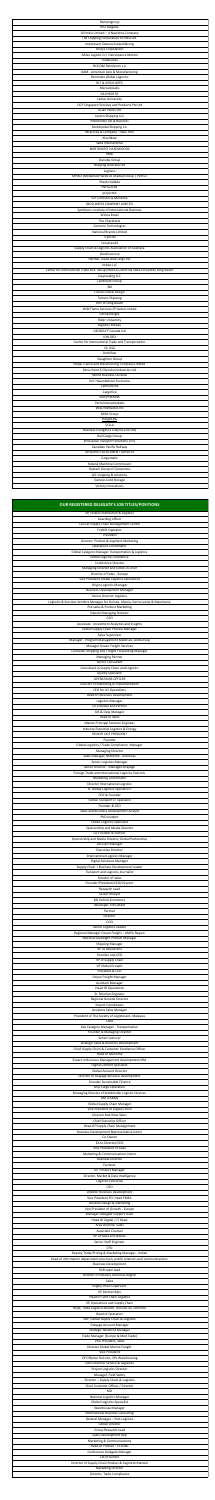| The Shipping Corporation of India Ltd.<br>Impressum Datenschutzerklärung                                                                                                  |
|---------------------------------------------------------------------------------------------------------------------------------------------------------------------------|
| <b>Unisys Corporation</b>                                                                                                                                                 |
| -Miles Logistic Cc/ Clairvoyance Motion<br>TradeLanes<br><b>BOCOM Petroleum s.a</b><br>AAM - American Axle & Manufacturing                                                |
| Perimeter Global Logistics<br><b>RLT &amp; ASSOCIATES</b><br>MercadoLabs<br><b>DACHSER SE</b>                                                                             |
| <b>Lamar University</b><br>OCP Singapore Services and Products Pte Ltd<br>Asian Paints Ltd                                                                                |
| Leyton Shipping LLC<br>Petrofinder AD & Business<br>Multimodal Shipping Co.                                                                                               |
| McKinsey & Company - New York<br>KlearNow<br>Saba International<br>NORTHWEST HARDWOODS                                                                                    |
| <b>IIMB</b><br>Danube Group<br>Shipping Australia Ltd                                                                                                                     |
| Loginno<br>MHAO (Mohamed Hareb Al Otaiba) Group   Pictruc<br>Shashi Kallada<br>Herra-SCM                                                                                  |
| project44<br>S2F Consutoria Marítima<br>SKOD IMPEX COMPANY LIMITED                                                                                                        |
| Symbiosis Institute of International Business<br>Winoa Brasil<br>The Charterers                                                                                           |
| Comorin Technologies<br><b>National Brands Limited</b><br>Transflo<br>Oceanaudit                                                                                          |
| Supply Chain & Logistics Association of Australia<br>Devdiscourse<br>Hermes Travel And Cargo Pvt                                                                          |
| Volteo LLC<br>Center for International Trade and Transportation California State University Long Beach<br>Easytrading LLC<br>Landmark Group                               |
| 3M<br><b>Future Global Design</b><br><b>Turners Shipping</b>                                                                                                              |
| Port of Long Beach<br>Wild Flame Services (Private) Limited<br><b>GB Railfreight</b>                                                                                      |
| <b>Rider University</b><br>Logistics Bureau<br>GEODIS FF Canada Ltd<br>ION GEO                                                                                            |
| Center for International Trade and Transportation<br>OL USA<br>Dockflow                                                                                                   |
| <b>Staughton Group</b><br>Nepal Transit and Warehousing Company Limited<br>Petus Paint \$ Chemical Industries Ltd<br><b>World Business Outlook</b>                        |
| N.V. Havenbeheer Suriname<br>Cellmark AB<br>Cargofive                                                                                                                     |
| <b>SUN PHARMA</b><br>Petroinnovationlabs<br>WiLO Networks Inc                                                                                                             |
| <b>SARA Group</b><br>Freight.BG<br><b>SCLLA</b>                                                                                                                           |
| Business Energetics Ltd(Icos Live Ltd)<br>Rail Cargo Group<br>Innovative Transport Solutions (ITS)<br>Canadian Pacific Railway                                            |
| TAYLORED FULFILLMENT SERVICES<br>Cargomatic<br><b>Federal Maritime Commission</b>                                                                                         |
| Hassani Group of Companies<br>JVC shipping & solutions<br>Genesis Cold Storage<br>Victory Innovations                                                                     |
| OUR REGISTERED DELEGATE'S JOB TITLES/POSITIONS                                                                                                                            |
| VP, Global Distribution & Logistics<br>boarding officer<br>COO at Supply Chain Management Centre                                                                          |
| Forklift Operator<br>President<br>Director, Product & Segment Marketing                                                                                                   |
| <b>Operations Coordinator</b><br><b>Global Category Manager Transportation &amp; Logistics</b><br><b>Global Logistics Excellence</b><br>Conference Director               |
| Managing Director and Editor-in-Chief<br>Director of Sales - Europe<br>Vice President Global Logistics Operations                                                         |
| <b>Origin Logistics Manager</b><br><b>Business Development Manager</b><br>Senior Director Logistics                                                                       |
| Logistics & Services Vendors Manager for Guinea, Liberia, Sierra Leone & Mauritania<br>Pre-sales & Product Marketing<br>Deputy Managing Director<br>CEO                   |
| Associate - Investment Analytics and Insights<br>Global Supply Chain Process Manager<br>Sales Supervisor                                                                  |
| Manager - Program Management Materials, Global Sup<br>Manager Ocean Freight Services<br>Container Shipping and Freight Forwarding Manager                                 |
| <b>Managing Partner</b><br>Senior Consultant<br>Consultant in Supply Chain and Logistics<br><b>Quality Specialist</b>                                                     |
| <b>OPERATIONS OFFICER</b><br>Director of Marketing & Implementation<br><b>CEO for US Operations</b>                                                                       |
| <b>Head Of Business Development</b><br>Logistics Manager<br>Co Founder and Partner                                                                                        |
| GIS & Data Manager<br><b>Head of Sales</b><br><b>Master Principal Solution Engineer</b><br>Industry Executive Logistics & Energy                                          |
| SENIOR VICE PRESIDENT<br>Founder<br>Global Logistics / Trade Compliance Manager                                                                                           |
| <b>Managing Director</b><br>Sales Manager, Maritime - Americas<br>Senior Logistics Manager<br>Senior Director - Managed Drayage                                           |
| Foreign Trade and International Logistics Executiv<br><b>Marketing Coordinator</b><br>Director International Logistics                                                    |
| Sr. Global Logistics Specialist II<br>CEO & Founder<br>Global Transport Jr. Specialist<br>Founder & CEO                                                                   |
| Sales and Business Development Analyst<br>PhD student<br>Ocean Logistics Specialist                                                                                       |
| Sponsorship and Media Director<br>Co-Founder & Partner<br>Sponsorship and Media Director, Global Partnership                                                              |
| <b>Account Manager</b><br><b>Executive Director</b><br>International Logistics Manager<br><b>Digital Solutions Manager</b>                                                |
| Supply Chain + Business Development Leader<br>Transport and Logistics Journalist<br>Director of Sales                                                                     |
| Founder/President/CEO/Director                                                                                                                                            |
| Research Lead<br>Senior Analyst<br><b>BIS Oxford Economics</b>                                                                                                            |
| developer, consultant<br>Partner<br>Director                                                                                                                              |
| COO<br>Senior Logistics Leader<br>Regional Manager Ocean Freight - AMEA Region                                                                                            |
| National Seafreight Product Manager<br><b>Shipping Manager</b><br>VP of Operations<br>Founder and CEO                                                                     |
| VP of Supply Chain<br>VP Global Growth<br>President & CEO                                                                                                                 |
| Ocean Freight Manager<br><b>Assistant Manager</b><br><b>Head Of Operations</b><br>Sr. Solution Engineer                                                                   |
| Regional General Director<br><b>Import Coordinator</b><br>Assistant Sales Manager                                                                                         |
| President of The Society of Logisticians, Malaysia<br>CMO<br>Key Category Manager - Transportation<br>Founder & Managing Director                                         |
| Senior Lecturer<br>strategic Sales & Business Development<br>Chief Supply Chain & Customer Excellence Officer                                                             |
| <b>Head of Maritime</b><br>Expert in Business Management development/OM<br><b>Digital Content Specialist</b><br><b>Global Account Director</b>                            |
| Director of Drayage Business Development<br>Founder Sustainable Finance<br>Ship Cargo Operation                                                                           |
| Managing Director of Weidmuller Logistic Services<br>GM (CS&M)<br><b>Global Supply Chain Manager</b>                                                                      |
| Vice President of Supply Chain<br><b>Director Maritime Sales</b><br><b>Chief Executive Officer</b><br>Head Of Supply Chain Management                                     |
| Business Development Representative intern<br>Co-Owner<br>EA to Director/CEO                                                                                              |
| Vice President of Sales<br>Marketing & Communications Intern<br><b>Business Director</b>                                                                                  |
| Facilator<br><b>IoT Product Manager</b><br>Director, Market & Data Intelligence<br>Logistics Executive                                                                    |
| CEO<br><b>Director Business Development</b><br>Vice President FCL Head EMEA                                                                                               |
| Solution Design & Marketing<br>Vice President of Growth - Europe<br>Manager Delegate Support Team<br>Head Of Digital / IT Head                                            |
| Area Director, Sales<br>Associate Counsel<br>VP of Sales and BizDev                                                                                                       |
| Senior Staff Engineer<br><b>CFO</b><br>Deputy Trade/Pricing & Marketing Manager - Indian<br>head of information department provision, public relations and communications |
| <b>Business Development</b><br>SDR team lead<br>Director of Delivery Americas Region                                                                                      |
| Sales<br>Supply chain supervisor<br>VP Partnerships<br>Head of Cold Chain Logistics                                                                                       |
| VP, Operations and Supply Chain<br>Head, Trade Logistics Branch, Division on Technolo<br><b>Head of Operation</b>                                                         |
| AVP, Global Supply Chain & Logistics<br>Drayage Account Manager<br><b>Strategic Relations Manager</b>                                                                     |
| Trade Manager (Europe & Med Trade)<br>Vice President, Sales<br>Director Global Marine Freight<br><b>Vice President</b>                                                    |
| VP Offprice Division, 3PL Warehousing<br>GM Customer Service & Logisitics<br>Project Logistics Director                                                                   |
| Manager, Field Safety<br>Director - Supply Chain & Logistics<br>Chief Customer Officer / Director<br><b>MD</b>                                                            |
| National Logistics Manager<br><b>Global Logistics Specialist</b><br>Warehouse Manager                                                                                     |
| <b>International Business Consulting</b><br>General Manager - Port Logistics<br><b>Global Director</b><br>Group Research Lead                                             |
| Sales Development Rep<br>Marketing & Communications<br>Head of Product - ECU360                                                                                           |
| Conference Delegate Manager<br>CEO/Founder<br>Director of Supply Chain Product & Segment Marketi<br><b>Marketing Director</b>                                             |